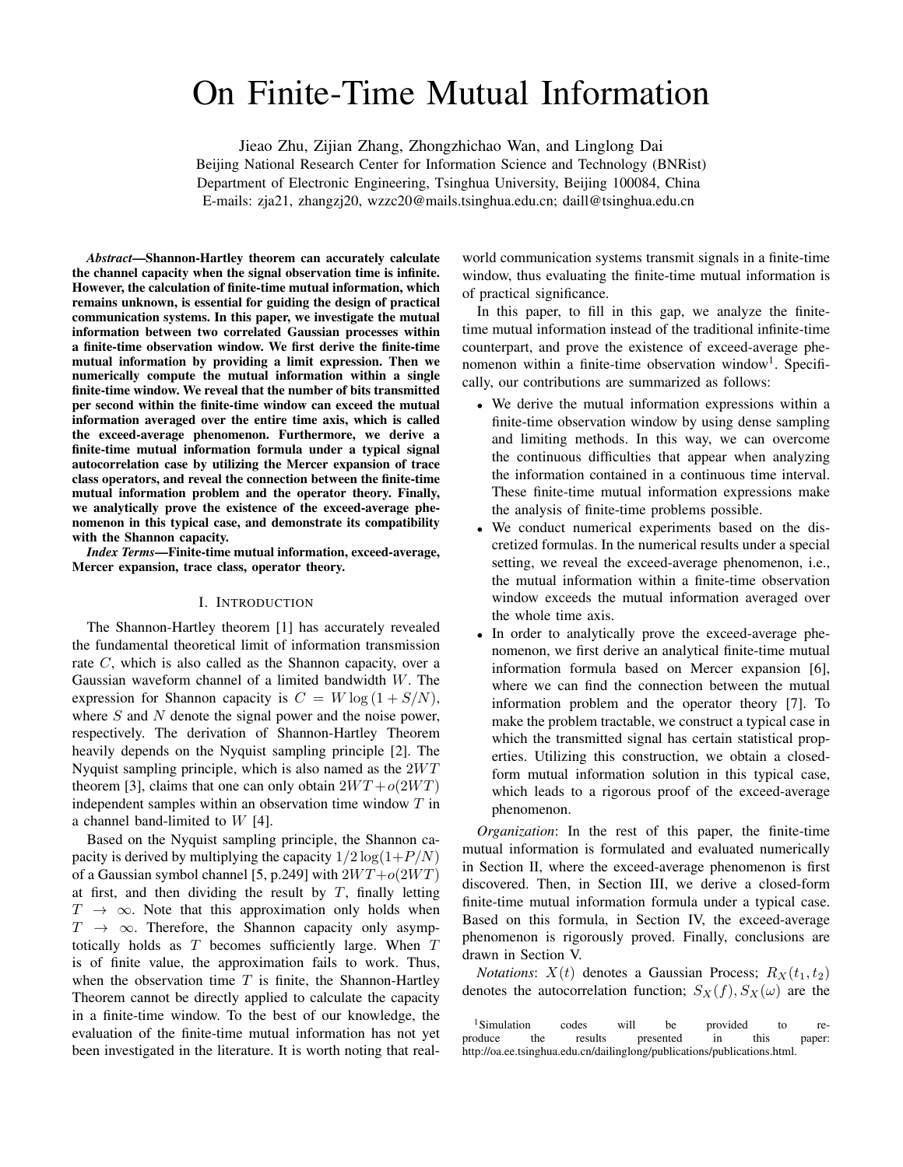# On Finite-Time Mutual Information

Jieao Zhu, Zijian Zhang, Zhongzhichao Wan, and Linglong Dai

Beijing National Research Center for Information Science and Technology (BNRist) Department of Electronic Engineering, Tsinghua University, Beijing 100084, China

E-mails: zja21, zhangzj20, wzzc20@mails.tsinghua.edu.cn; daill@tsinghua.edu.cn

*Abstract*—Shannon-Hartley theorem can accurately calculate the channel capacity when the signal observation time is infinite. However, the calculation of finite-time mutual information, which remains unknown, is essential for guiding the design of practical communication systems. In this paper, we investigate the mutual information between two correlated Gaussian processes within a finite-time observation window. We first derive the finite-time mutual information by providing a limit expression. Then we numerically compute the mutual information within a single finite-time window. We reveal that the number of bits transmitted per second within the finite-time window can exceed the mutual information averaged over the entire time axis, which is called the exceed-average phenomenon. Furthermore, we derive a finite-time mutual information formula under a typical signal autocorrelation case by utilizing the Mercer expansion of trace class operators, and reveal the connection between the finite-time mutual information problem and the operator theory. Finally, we analytically prove the existence of the exceed-average phenomenon in this typical case, and demonstrate its compatibility with the Shannon capacity.

*Index Terms*—Finite-time mutual information, exceed-average, Mercer expansion, trace class, operator theory.

## I. INTRODUCTION

The Shannon-Hartley theorem [\[1\]](#page-5-0) has accurately revealed the fundamental theoretical limit of information transmission rate C, which is also called as the Shannon capacity, over a Gaussian waveform channel of a limited bandwidth W. The expression for Shannon capacity is  $C = W \log(1 + S/N)$ , where  $S$  and  $N$  denote the signal power and the noise power, respectively. The derivation of Shannon-Hartley Theorem heavily depends on the Nyquist sampling principle [\[2\]](#page-5-1). The Nyquist sampling principle, which is also named as the  $2WT$ theorem [\[3\]](#page-5-2), claims that one can only obtain  $2WT + o(2WT)$ independent samples within an observation time window T in a channel band-limited to  $W$  [\[4\]](#page-5-3).

Based on the Nyquist sampling principle, the Shannon capacity is derived by multiplying the capacity  $1/2 \log(1+P/N)$ of a Gaussian symbol channel [\[5,](#page-5-4) p.249] with  $2WT+o(2WT)$ at first, and then dividing the result by  $T$ , finally letting  $T \rightarrow \infty$ . Note that this approximation only holds when  $T \rightarrow \infty$ . Therefore, the Shannon capacity only asymptotically holds as  $T$  becomes sufficiently large. When  $T$ is of finite value, the approximation fails to work. Thus, when the observation time  $T$  is finite, the Shannon-Hartley Theorem cannot be directly applied to calculate the capacity in a finite-time window. To the best of our knowledge, the evaluation of the finite-time mutual information has not yet been investigated in the literature. It is worth noting that real-

world communication systems transmit signals in a finite-time window, thus evaluating the finite-time mutual information is of practical significance.

In this paper, to fill in this gap, we analyze the finitetime mutual information instead of the traditional infinite-time counterpart, and prove the existence of exceed-average phe-nomenon within a finite-time observation window<sup>[1](#page-0-0)</sup>. Specifically, our contributions are summarized as follows:

- We derive the mutual information expressions within a finite-time observation window by using dense sampling and limiting methods. In this way, we can overcome the continuous difficulties that appear when analyzing the information contained in a continuous time interval. These finite-time mutual information expressions make the analysis of finite-time problems possible.
- We conduct numerical experiments based on the discretized formulas. In the numerical results under a special setting, we reveal the exceed-average phenomenon, i.e., the mutual information within a finite-time observation window exceeds the mutual information averaged over the whole time axis.
- In order to analytically prove the exceed-average phenomenon, we first derive an analytical finite-time mutual information formula based on Mercer expansion [\[6\]](#page-5-5), where we can find the connection between the mutual information problem and the operator theory [\[7\]](#page-5-6). To make the problem tractable, we construct a typical case in which the transmitted signal has certain statistical properties. Utilizing this construction, we obtain a closedform mutual information solution in this typical case, which leads to a rigorous proof of the exceed-average phenomenon.

*Organization*: In the rest of this paper, the finite-time mutual information is formulated and evaluated numerically in Section II, where the exceed-average phenomenon is first discovered. Then, in Section III, we derive a closed-form finite-time mutual information formula under a typical case. Based on this formula, in Section IV, the exceed-average phenomenon is rigorously proved. Finally, conclusions are drawn in Section V.

*Notations*:  $X(t)$  denotes a Gaussian Process;  $R_X(t_1, t_2)$ denotes the autocorrelation function;  $S_X(f)$ ,  $S_X(\omega)$  are the

<span id="page-0-0"></span><sup>&</sup>lt;sup>1</sup>Simulation codes will be provided to re-<br>oduce the results presented in this paper: produce the results presented in this paper: [http://oa.ee.tsinghua.edu.cn/dailinglong/publications/publications.html.](http://oa.ee.tsinghua.edu.cn/dailinglong/publications/publications.html)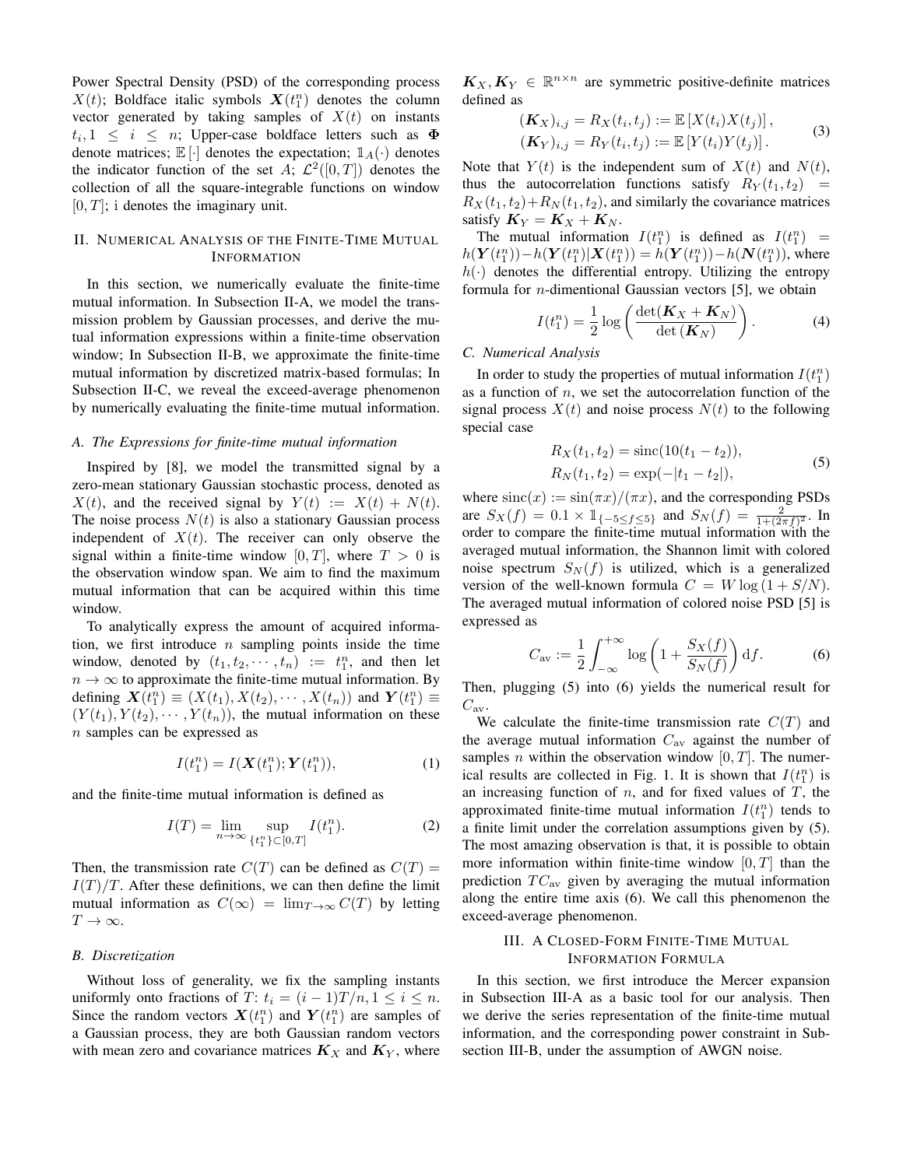Power Spectral Density (PSD) of the corresponding process  $X(t)$ ; Boldface italic symbols  $X(t_1^n)$  denotes the column vector generated by taking samples of  $X(t)$  on instants  $t_i, 1 \leq i \leq n$ ; Upper-case boldface letters such as  $\Phi$ denote matrices;  $\mathbb{E}[\cdot]$  denotes the expectation;  $\mathbb{1}_A(\cdot)$  denotes the indicator function of the set A;  $\mathcal{L}^2([0,T])$  denotes the collection of all the square-integrable functions on window  $[0, T]$ ; i denotes the imaginary unit.

# II. NUMERICAL ANALYSIS OF THE FINITE-TIME MUTUAL INFORMATION

In this section, we numerically evaluate the finite-time mutual information. In Subsection [II-A,](#page-1-0) we model the transmission problem by Gaussian processes, and derive the mutual information expressions within a finite-time observation window; In Subsection [II-B,](#page-1-1) we approximate the finite-time mutual information by discretized matrix-based formulas; In Subsection [II-C,](#page-1-2) we reveal the exceed-average phenomenon by numerically evaluating the finite-time mutual information.

#### <span id="page-1-0"></span>*A. The Expressions for finite-time mutual information*

Inspired by [\[8\]](#page-5-7), we model the transmitted signal by a zero-mean stationary Gaussian stochastic process, denoted as  $X(t)$ , and the received signal by  $Y(t) := X(t) + N(t)$ . The noise process  $N(t)$  is also a stationary Gaussian process independent of  $X(t)$ . The receiver can only observe the signal within a finite-time window [0, T], where  $T > 0$  is the observation window span. We aim to find the maximum mutual information that can be acquired within this time window.

To analytically express the amount of acquired information, we first introduce  $n$  sampling points inside the time window, denoted by  $(t_1, t_2, \dots, t_n) := t_1^n$ , and then let  $n \to \infty$  to approximate the finite-time mutual information. By defining  $\mathbf{X}(t_1^n) \equiv (X(t_1), X(t_2), \cdots, X(t_n))$  and  $\mathbf{Y}(t_1^n) \equiv$  $(Y(t_1), Y(t_2), \cdots, Y(t_n))$ , the mutual information on these n samples can be expressed as

$$
I(t_1^n) = I(\mathbf{X}(t_1^n); \mathbf{Y}(t_1^n)), \tag{1}
$$

and the finite-time mutual information is defined as

$$
I(T) = \lim_{n \to \infty} \sup_{\{t_1^n\} \subset [0,T]} I(t_1^n). \tag{2}
$$

Then, the transmission rate  $C(T)$  can be defined as  $C(T)$  =  $I(T)/T$ . After these definitions, we can then define the limit mutual information as  $C(\infty) = \lim_{T \to \infty} C(T)$  by letting  $T \to \infty$ .

#### <span id="page-1-1"></span>*B. Discretization*

Without loss of generality, we fix the sampling instants uniformly onto fractions of T:  $t_i = (i - 1)T/n, 1 \le i \le n$ . Since the random vectors  $\mathbf{X}(t_1^n)$  and  $\mathbf{Y}(t_1^n)$  are samples of a Gaussian process, they are both Gaussian random vectors with mean zero and covariance matrices  $K_X$  and  $K_Y$ , where

 $K_X, K_Y \in \mathbb{R}^{n \times n}$  are symmetric positive-definite matrices defined as

$$
(\mathbf{K}_X)_{i,j} = R_X(t_i, t_j) := \mathbb{E}[X(t_i)X(t_j)],(\mathbf{K}_Y)_{i,j} = R_Y(t_i, t_j) := \mathbb{E}[Y(t_i)Y(t_j)].
$$
\n(3)

Note that  $Y(t)$  is the independent sum of  $X(t)$  and  $N(t)$ , thus the autocorrelation functions satisfy  $R_Y(t_1, t_2)$  =  $R_X(t_1, t_2) + R_N(t_1, t_2)$ , and similarly the covariance matrices satisfy  $K_Y = K_X + K_N$ .

The mutual information  $I(t_1^n)$  is defined as  $I(t_1^n)$  =  $h(Y(t_1^n)) - h(Y(t_1^n)|X(t_1^n)) = h(Y(t_1^n)) - h(N(t_1^n))$ , where  $h(\cdot)$  denotes the differential entropy. Utilizing the entropy formula for *n*-dimentional Gaussian vectors  $[5]$ , we obtain

$$
I(t_1^n) = \frac{1}{2} \log \left( \frac{\det(\mathbf{K}_X + \mathbf{K}_N)}{\det(\mathbf{K}_N)} \right).
$$
 (4)

#### <span id="page-1-2"></span>*C. Numerical Analysis*

In order to study the properties of mutual information  $I(t_1^n)$ as a function of  $n$ , we set the autocorrelation function of the signal process  $X(t)$  and noise process  $N(t)$  to the following special case

<span id="page-1-3"></span>
$$
R_X(t_1, t_2) = \text{sinc}(10(t_1 - t_2)),
$$
  
\n
$$
R_N(t_1, t_2) = \exp(-|t_1 - t_2|),
$$
\n(5)

where  $\text{sinc}(x) := \sin(\pi x) / (\pi x)$ , and the corresponding PSDs are  $S_X(f) = 0.1 \times 11\{-5 \le f \le 5\}$  and  $S_N(f) = \frac{2}{1 + (2\pi f)^2}$ . In order to compare the finite-time mutual information with the averaged mutual information, the Shannon limit with colored noise spectrum  $S_N(f)$  is utilized, which is a generalized version of the well-known formula  $C = W \log(1 + S/N)$ . The averaged mutual information of colored noise PSD [\[5\]](#page-5-4) is expressed as

<span id="page-1-4"></span>
$$
C_{\text{av}} := \frac{1}{2} \int_{-\infty}^{+\infty} \log \left( 1 + \frac{S_X(f)}{S_N(f)} \right) \mathrm{d}f. \tag{6}
$$

Then, plugging [\(5\)](#page-1-3) into [\(6\)](#page-1-4) yields the numerical result for  $C_{\rm av}$ .

We calculate the finite-time transmission rate  $C(T)$  and the average mutual information  $C_{\text{av}}$  against the number of samples *n* within the observation window  $[0, T]$ . The numer-ical results are collected in Fig. [1.](#page-2-0) It is shown that  $I(t_1^n)$  is an increasing function of  $n$ , and for fixed values of  $T$ , the approximated finite-time mutual information  $I(t_1^n)$  tends to a finite limit under the correlation assumptions given by [\(5\)](#page-1-3). The most amazing observation is that, it is possible to obtain more information within finite-time window  $[0, T]$  than the prediction  $TC_{av}$  given by averaging the mutual information along the entire time axis [\(6\)](#page-1-4). We call this phenomenon the exceed-average phenomenon.

# III. A CLOSED-FORM FINITE-TIME MUTUAL INFORMATION FORMULA

In this section, we first introduce the Mercer expansion in Subsection [III-A](#page-2-1) as a basic tool for our analysis. Then we derive the series representation of the finite-time mutual information, and the corresponding power constraint in Subsection [III-B,](#page-2-2) under the assumption of AWGN noise.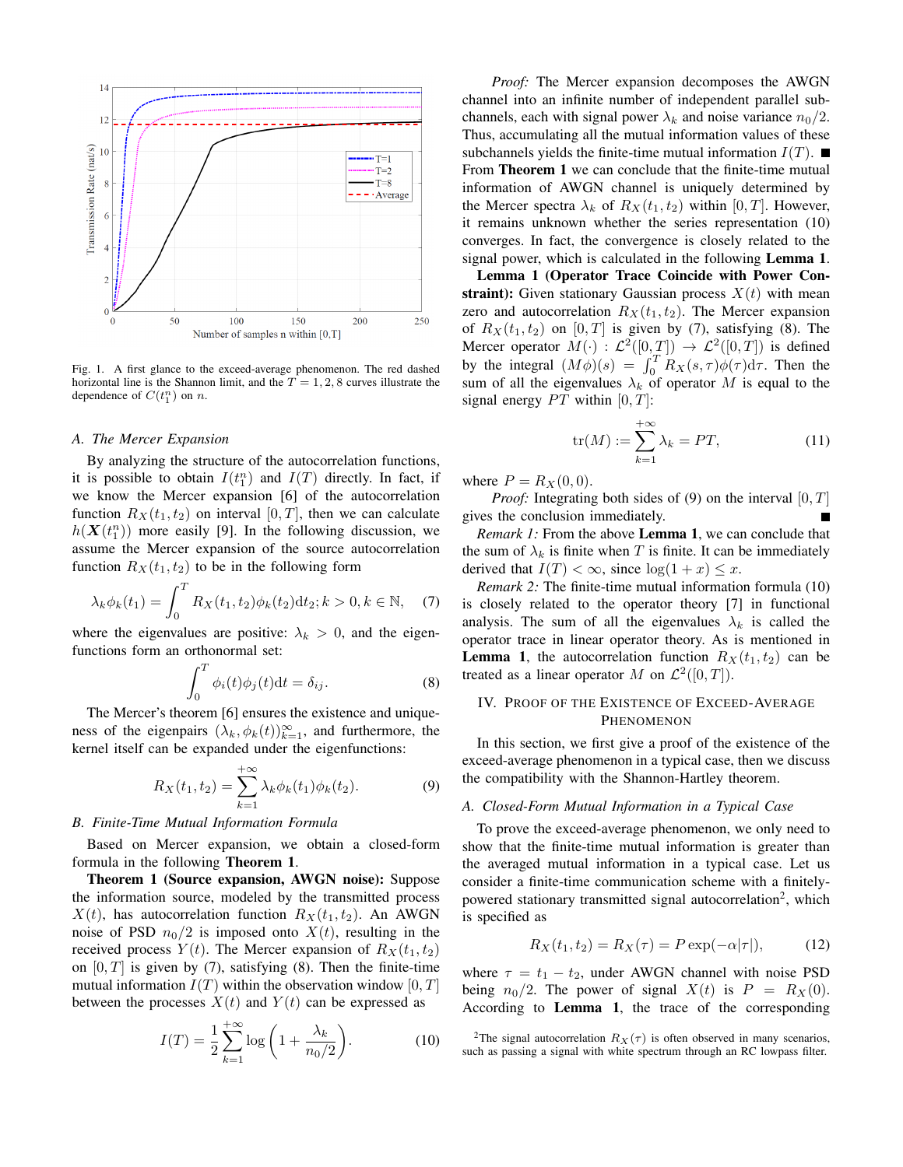

<span id="page-2-0"></span>Fig. 1. A first glance to the exceed-average phenomenon. The red dashed horizontal line is the Shannon limit, and the  $T = 1, 2, 8$  curves illustrate the dependence of  $C(t_1^n)$  on n.

#### <span id="page-2-1"></span>*A. The Mercer Expansion*

By analyzing the structure of the autocorrelation functions, it is possible to obtain  $I(t_1^n)$  and  $I(T)$  directly. In fact, if we know the Mercer expansion [\[6\]](#page-5-5) of the autocorrelation function  $R_X(t_1, t_2)$  on interval [0, T], then we can calculate  $h(\mathbf{X}(t_1^n))$  more easily [\[9\]](#page-5-8). In the following discussion, we assume the Mercer expansion of the source autocorrelation function  $R_X(t_1, t_2)$  to be in the following form

<span id="page-2-4"></span>
$$
\lambda_k \phi_k(t_1) = \int_0^T R_X(t_1, t_2) \phi_k(t_2) dt_2; k > 0, k \in \mathbb{N}, \quad (7)
$$

where the eigenvalues are positive:  $\lambda_k > 0$ , and the eigenfunctions form an orthonormal set:

<span id="page-2-5"></span>
$$
\int_0^T \phi_i(t)\phi_j(t)dt = \delta_{ij}.
$$
 (8)

The Mercer's theorem [\[6\]](#page-5-5) ensures the existence and uniqueness of the eigenpairs  $(\lambda_k, \phi_k(t))_{k=1}^{\infty}$ , and furthermore, the kernel itself can be expanded under the eigenfunctions:

<span id="page-2-8"></span>
$$
R_X(t_1, t_2) = \sum_{k=1}^{+\infty} \lambda_k \phi_k(t_1) \phi_k(t_2).
$$
 (9)

#### <span id="page-2-2"></span>*B. Finite-Time Mutual Information Formula*

Based on Mercer expansion, we obtain a closed-form formula in the following Theorem [1](#page-2-3).

Theorem 1 (Source expansion, AWGN noise): Suppose the information source, modeled by the transmitted process  $X(t)$ , has autocorrelation function  $R_X(t_1, t_2)$ . An AWGN noise of PSD  $n_0/2$  is imposed onto  $X(t)$ , resulting in the received process  $Y(t)$ . The Mercer expansion of  $R_X(t_1, t_2)$ on  $[0, T]$  is given by [\(7\)](#page-2-4), satisfying [\(8\)](#page-2-5). Then the finite-time mutual information  $I(T)$  within the observation window  $[0, T]$ between the processes  $X(t)$  and  $Y(t)$  can be expressed as

<span id="page-2-6"></span>
$$
I(T) = \frac{1}{2} \sum_{k=1}^{+\infty} \log \left( 1 + \frac{\lambda_k}{n_0/2} \right).
$$
 (10)

*Proof:* The Mercer expansion decomposes the AWGN channel into an infinite number of independent parallel subchannels, each with signal power  $\lambda_k$  and noise variance  $n_0/2$ . Thus, accumulating all the mutual information values of these subchannels yields the finite-time mutual information  $I(T)$ . From Theorem [1](#page-2-3) we can conclude that the finite-time mutual information of AWGN channel is uniquely determined by the Mercer spectra  $\lambda_k$  of  $R_X(t_1, t_2)$  within [0, T]. However, it remains unknown whether the series representation [\(10\)](#page-2-6) converges. In fact, the convergence is closely related to the signal power, which is calculated in the following Lemma [1](#page-2-7).

Lemma 1 (Operator Trace Coincide with Power Constraint): Given stationary Gaussian process  $X(t)$  with mean zero and autocorrelation  $R_X(t_1, t_2)$ . The Mercer expansion of  $R_X(t_1, t_2)$  on  $[0, T]$  is given by [\(7\)](#page-2-4), satisfying [\(8\)](#page-2-5). The Mercer operator  $M(\cdot) : \mathcal{L}^2([0,T]) \to \mathcal{L}^2([0,T])$  is defined by the integral  $(M\phi)(s) = \int_0^T R_X(s,\tau)\dot{\phi}(\tau) d\tau$ . Then the sum of all the eigenvalues  $\lambda_k$  of operator M is equal to the signal energy  $PT$  within  $[0, T]$ :

<span id="page-2-7"></span>
$$
\text{tr}(M) := \sum_{k=1}^{+\infty} \lambda_k = PT,\tag{11}
$$

where  $P = R_X(0, 0)$ .

*Proof:* Integrating both sides of [\(9\)](#page-2-8) on the interval  $[0, T]$ gives the conclusion immediately.

<span id="page-2-10"></span>*Remark [1](#page-2-7):* From the above **Lemma 1**, we can conclude that the sum of  $\lambda_k$  is finite when T is finite. It can be immediately derived that  $I(T) < \infty$ , since  $\log(1 + x) \leq x$ .

*Remark 2:* The finite-time mutual information formula [\(10\)](#page-2-6) is closely related to the operator theory [\[7\]](#page-5-6) in functional analysis. The sum of all the eigenvalues  $\lambda_k$  is called the operator trace in linear operator theory. As is mentioned in **Lemma [1](#page-2-7),** the autocorrelation function  $R_X(t_1, t_2)$  can be treated as a linear operator M on  $\mathcal{L}^2([0,T])$ .

## IV. PROOF OF THE EXISTENCE OF EXCEED-AVERAGE PHENOMENON

In this section, we first give a proof of the existence of the exceed-average phenomenon in a typical case, then we discuss the compatibility with the Shannon-Hartley theorem.

#### *A. Closed-Form Mutual Information in a Typical Case*

<span id="page-2-3"></span>To prove the exceed-average phenomenon, we only need to show that the finite-time mutual information is greater than the averaged mutual information in a typical case. Let us consider a finite-time communication scheme with a finitely-powered stationary transmitted signal autocorrelation<sup>[2](#page-2-9)</sup>, which is specified as

<span id="page-2-11"></span>
$$
R_X(t_1, t_2) = R_X(\tau) = P \exp(-\alpha |\tau|), \tag{12}
$$

where  $\tau = t_1 - t_2$ , under AWGN channel with noise PSD being  $n_0/2$ . The power of signal  $X(t)$  is  $P = R_X(0)$ . According to Lemma [1](#page-2-7), the trace of the corresponding

<span id="page-2-9"></span><sup>&</sup>lt;sup>2</sup>The signal autocorrelation  $R_X(\tau)$  is often observed in many scenarios, such as passing a signal with white spectrum through an RC lowpass filter.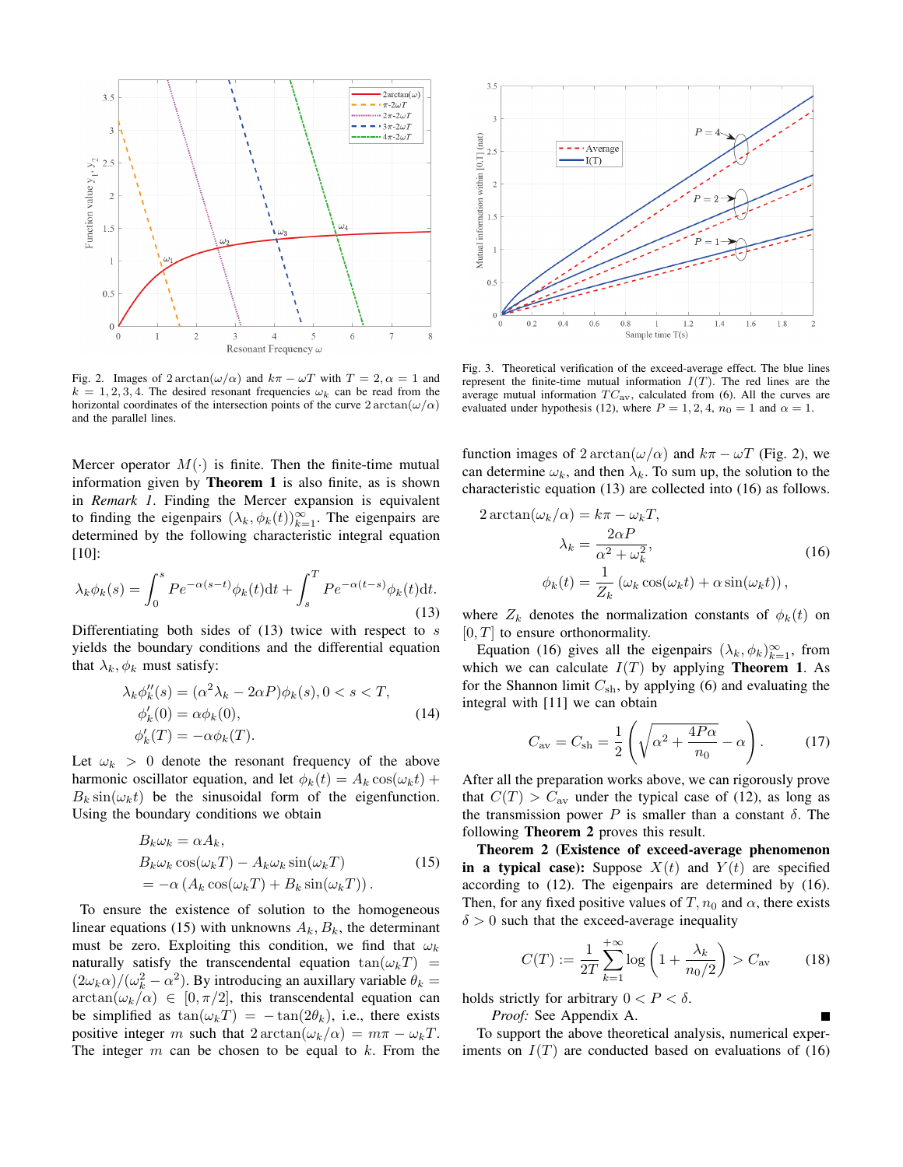

<span id="page-3-2"></span>Fig. 2. Images of  $2 \arctan(\omega/\alpha)$  and  $k\pi - \omega T$  with  $T = 2, \alpha = 1$  and  $k = 1, 2, 3, 4$ . The desired resonant frequencies  $\omega_k$  can be read from the horizontal coordinates of the intersection points of the curve  $2\arctan(\omega/\alpha)$ and the parallel lines.

Mercer operator  $M(\cdot)$  is finite. Then the finite-time mutual information given by Theorem [1](#page-2-3) is also finite, as is shown in *Remark [1](#page-2-10)*. Finding the Mercer expansion is equivalent to finding the eigenpairs  $(\lambda_k, \phi_k(t))_{k=1}^{\infty}$ . The eigenpairs are determined by the following characteristic integral equation [\[10\]](#page-5-9):

<span id="page-3-0"></span>
$$
\lambda_k \phi_k(s) = \int_0^s P e^{-\alpha(s-t)} \phi_k(t) dt + \int_s^T P e^{-\alpha(t-s)} \phi_k(t) dt.
$$
\n(13)

Differentiating both sides of  $(13)$  twice with respect to s yields the boundary conditions and the differential equation that  $\lambda_k, \phi_k$  must satisfy:

$$
\lambda_k \phi_k''(s) = (\alpha^2 \lambda_k - 2\alpha P)\phi_k(s), 0 < s < T,
$$
  
\n
$$
\phi_k'(0) = \alpha \phi_k(0),
$$
  
\n
$$
\phi_k'(T) = -\alpha \phi_k(T).
$$
\n(14)

Let  $\omega_k > 0$  denote the resonant frequency of the above harmonic oscillator equation, and let  $\phi_k(t) = A_k \cos(\omega_k t) +$  $B_k \sin(\omega_k t)$  be the sinusoidal form of the eigenfunction. Using the boundary conditions we obtain

<span id="page-3-1"></span>
$$
B_k \omega_k = \alpha A_k,
$$
  
\n
$$
B_k \omega_k \cos(\omega_k T) - A_k \omega_k \sin(\omega_k T)
$$
  
\n
$$
= -\alpha (A_k \cos(\omega_k T) + B_k \sin(\omega_k T)).
$$
\n(15)

To ensure the existence of solution to the homogeneous linear equations [\(15\)](#page-3-1) with unknowns  $A_k, B_k$ , the determinant must be zero. Exploiting this condition, we find that  $\omega_k$ naturally satisfy the transcendental equation  $tan(\omega_kT)$  =  $\left(\frac{2\omega_k\alpha}{\omega_k}-\alpha^2\right)$ . By introducing an auxillary variable  $\theta_k =$  $arctan(\omega_k/\alpha) \in [0, \pi/2]$ , this transcendental equation can be simplified as  $tan(\omega_k T) = -tan(2\theta_k)$ , i.e., there exists positive integer m such that  $2 \arctan(\omega_k/\alpha) = m\pi - \omega_kT$ . The integer  $m$  can be chosen to be equal to  $k$ . From the



<span id="page-3-6"></span>Fig. 3. Theoretical verification of the exceed-average effect. The blue lines represent the finite-time mutual information  $I(T)$ . The red lines are the average mutual information  $TC_{\text{av}}$ , calculated from [\(6\)](#page-1-4). All the curves are evaluated under hypothesis [\(12\)](#page-2-11), where  $P = 1, 2, 4, n_0 = 1$  and  $\alpha = 1$ .

function images of  $2 \arctan(\omega/\alpha)$  and  $k\pi - \omega T$  (Fig. [2\)](#page-3-2), we can determine  $\omega_k$ , and then  $\lambda_k$ . To sum up, the solution to the characteristic equation [\(13\)](#page-3-0) are collected into [\(16\)](#page-3-3) as follows.

<span id="page-3-3"></span>
$$
2 \arctan(\omega_k/\alpha) = k\pi - \omega_k T,
$$
  
\n
$$
\lambda_k = \frac{2\alpha P}{\alpha^2 + \omega_k^2},
$$
  
\n
$$
\phi_k(t) = \frac{1}{Z_k} (\omega_k \cos(\omega_k t) + \alpha \sin(\omega_k t)),
$$
\n(16)

where  $Z_k$  denotes the normalization constants of  $\phi_k(t)$  on  $[0, T]$  to ensure orthonormality.

Equation [\(16\)](#page-3-3) gives all the eigenpairs  $(\lambda_k, \phi_k)_{k=1}^{\infty}$ , from which we can calculate  $I(T)$  by applying **Theorem [1](#page-2-3)**. As for the Shannon limit  $C_{\rm sh}$ , by applying [\(6\)](#page-1-4) and evaluating the integral with [\[11\]](#page-5-10) we can obtain

<span id="page-3-5"></span>
$$
C_{\rm av} = C_{\rm sh} = \frac{1}{2} \left( \sqrt{\alpha^2 + \frac{4P\alpha}{n_0}} - \alpha \right). \tag{17}
$$

After all the preparation works above, we can rigorously prove that  $C(T) > C<sub>av</sub>$  under the typical case of [\(12\)](#page-2-11), as long as the transmission power P is smaller than a constant  $\delta$ . The following Theorem [2](#page-3-4) proves this result.

<span id="page-3-4"></span>Theorem 2 (Existence of exceed-average phenomenon in a typical case): Suppose  $X(t)$  and  $Y(t)$  are specified according to [\(12\)](#page-2-11). The eigenpairs are determined by [\(16\)](#page-3-3). Then, for any fixed positive values of T,  $n_0$  and  $\alpha$ , there exists  $\delta > 0$  such that the exceed-average inequality

<span id="page-3-7"></span>
$$
C(T) := \frac{1}{2T} \sum_{k=1}^{+\infty} \log \left( 1 + \frac{\lambda_k}{n_0/2} \right) > C_{\text{av}} \tag{18}
$$

holds strictly for arbitrary  $0 < P < \delta$ .

*Proof:* See Appendix A.

To support the above theoretical analysis, numerical experiments on  $I(T)$  are conducted based on evaluations of [\(16\)](#page-3-3)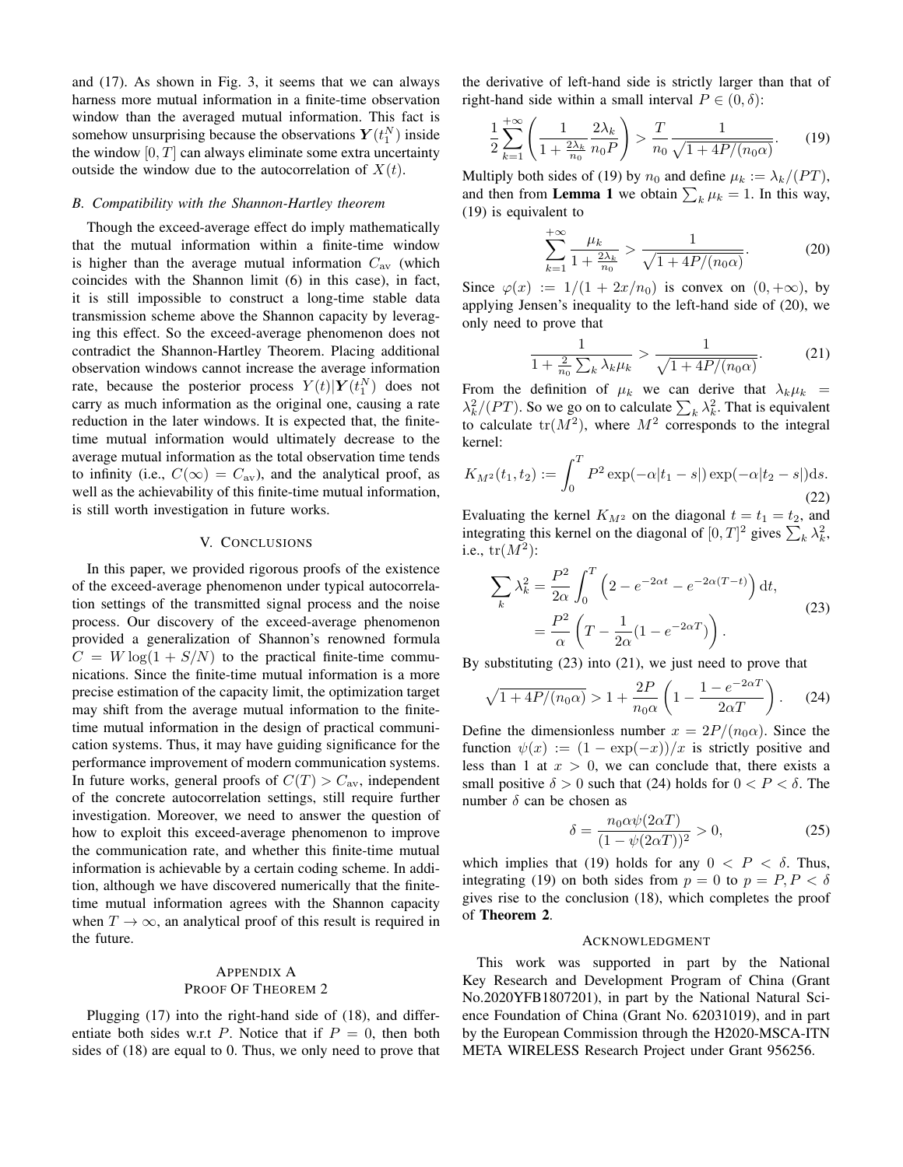and [\(17\)](#page-3-5). As shown in Fig. [3,](#page-3-6) it seems that we can always harness more mutual information in a finite-time observation window than the averaged mutual information. This fact is somehow unsurprising because the observations  $Y(t_1^N)$  inside the window  $[0, T]$  can always eliminate some extra uncertainty outside the window due to the autocorrelation of  $X(t)$ .

## *B. Compatibility with the Shannon-Hartley theorem*

Though the exceed-average effect do imply mathematically that the mutual information within a finite-time window is higher than the average mutual information  $C_{av}$  (which coincides with the Shannon limit [\(6\)](#page-1-4) in this case), in fact, it is still impossible to construct a long-time stable data transmission scheme above the Shannon capacity by leveraging this effect. So the exceed-average phenomenon does not contradict the Shannon-Hartley Theorem. Placing additional observation windows cannot increase the average information rate, because the posterior process  $Y(t)|Y(t_1^N)$  does not carry as much information as the original one, causing a rate reduction in the later windows. It is expected that, the finitetime mutual information would ultimately decrease to the average mutual information as the total observation time tends to infinity (i.e.,  $C(\infty) = C_{\text{av}}$ ), and the analytical proof, as well as the achievability of this finite-time mutual information, is still worth investigation in future works.

## V. CONCLUSIONS

In this paper, we provided rigorous proofs of the existence of the exceed-average phenomenon under typical autocorrelation settings of the transmitted signal process and the noise process. Our discovery of the exceed-average phenomenon provided a generalization of Shannon's renowned formula  $C = W \log(1 + S/N)$  to the practical finite-time communications. Since the finite-time mutual information is a more precise estimation of the capacity limit, the optimization target may shift from the average mutual information to the finitetime mutual information in the design of practical communication systems. Thus, it may have guiding significance for the performance improvement of modern communication systems. In future works, general proofs of  $C(T) > C<sub>av</sub>$ , independent of the concrete autocorrelation settings, still require further investigation. Moreover, we need to answer the question of how to exploit this exceed-average phenomenon to improve the communication rate, and whether this finite-time mutual information is achievable by a certain coding scheme. In addition, although we have discovered numerically that the finitetime mutual information agrees with the Shannon capacity when  $T \to \infty$ , an analytical proof of this result is required in the future.

# APPENDIX A PROOF OF THEOREM [2](#page-3-4)

Plugging [\(17\)](#page-3-5) into the right-hand side of [\(18\)](#page-3-7), and differentiate both sides w.r.t P. Notice that if  $P = 0$ , then both sides of [\(18\)](#page-3-7) are equal to 0. Thus, we only need to prove that

the derivative of left-hand side is strictly larger than that of right-hand side within a small interval  $P \in (0, \delta)$ :

<span id="page-4-0"></span>
$$
\frac{1}{2} \sum_{k=1}^{+\infty} \left( \frac{1}{1 + \frac{2\lambda_k}{n_0}} \frac{2\lambda_k}{n_0 P} \right) > \frac{T}{n_0} \frac{1}{\sqrt{1 + 4P/(n_0 \alpha)}}. \tag{19}
$$

Multiply both sides of [\(19\)](#page-4-0) by  $n_0$  and define  $\mu_k := \lambda_k/(PT)$ , and then from **Lemma [1](#page-2-7)** we obtain  $\sum_{k} \mu_k = 1$ . In this way, [\(19\)](#page-4-0) is equivalent to

<span id="page-4-1"></span>
$$
\sum_{k=1}^{+\infty} \frac{\mu_k}{1 + \frac{2\lambda_k}{n_0}} > \frac{1}{\sqrt{1 + 4P/(n_0\alpha)}}.
$$
 (20)

Since  $\varphi(x) := 1/(1 + 2x/n_0)$  is convex on  $(0, +\infty)$ , by applying Jensen's inequality to the left-hand side of [\(20\)](#page-4-1), we only need to prove that

<span id="page-4-3"></span>
$$
\frac{1}{1 + \frac{2}{n_0} \sum_k \lambda_k \mu_k} > \frac{1}{\sqrt{1 + 4P/(n_0 \alpha)}}.
$$
 (21)

From the definition of  $\mu_k$  we can derive that  $\lambda_k \mu_k$  =  $\lambda_k^2/(PT)$ . So we go on to calculate  $\sum_k \lambda_k^2$ . That is equivalent to calculate  $tr(M^2)$ , where  $M^2$  corresponds to the integral kernel:

$$
K_{M^2}(t_1, t_2) := \int_0^T P^2 \exp(-\alpha |t_1 - s|) \exp(-\alpha |t_2 - s|) \, \mathrm{d}s. \tag{22}
$$

Evaluating the kernel  $K_{M^2}$  on the diagonal  $t = t_1 = t_2$ , and integrating this kernel on the diagonal of  $[0, T]^2$  gives  $\sum_k \lambda_k^2$ , i.e.,  $tr(M^2)$ :

<span id="page-4-2"></span>
$$
\sum_{k} \lambda_{k}^{2} = \frac{P^{2}}{2\alpha} \int_{0}^{T} \left( 2 - e^{-2\alpha t} - e^{-2\alpha (T-t)} \right) dt,
$$
  

$$
= \frac{P^{2}}{\alpha} \left( T - \frac{1}{2\alpha} (1 - e^{-2\alpha T}) \right).
$$
 (23)

By substituting [\(23\)](#page-4-2) into [\(21\)](#page-4-3), we just need to prove that

<span id="page-4-4"></span>
$$
\sqrt{1 + 4P/(n_0 \alpha)} > 1 + \frac{2P}{n_0 \alpha} \left( 1 - \frac{1 - e^{-2\alpha T}}{2\alpha T} \right). \tag{24}
$$

Define the dimensionless number  $x = 2P/(n_0\alpha)$ . Since the function  $\psi(x) := (1 - \exp(-x))/x$  is strictly positive and less than 1 at  $x > 0$ , we can conclude that, there exists a small positive  $\delta > 0$  such that [\(24\)](#page-4-4) holds for  $0 < P < \delta$ . The number  $\delta$  can be chosen as

$$
\delta = \frac{n_0 \alpha \psi (2\alpha T)}{(1 - \psi (2\alpha T))^2} > 0,
$$
\n(25)

which implies that [\(19\)](#page-4-0) holds for any  $0 < P < \delta$ . Thus, integrating [\(19\)](#page-4-0) on both sides from  $p = 0$  to  $p = P, P < \delta$ gives rise to the conclusion [\(18\)](#page-3-7), which completes the proof of Theorem [2](#page-3-4).

#### ACKNOWLEDGMENT

This work was supported in part by the National Key Research and Development Program of China (Grant No.2020YFB1807201), in part by the National Natural Science Foundation of China (Grant No. 62031019), and in part by the European Commission through the H2020-MSCA-ITN META WIRELESS Research Project under Grant 956256.